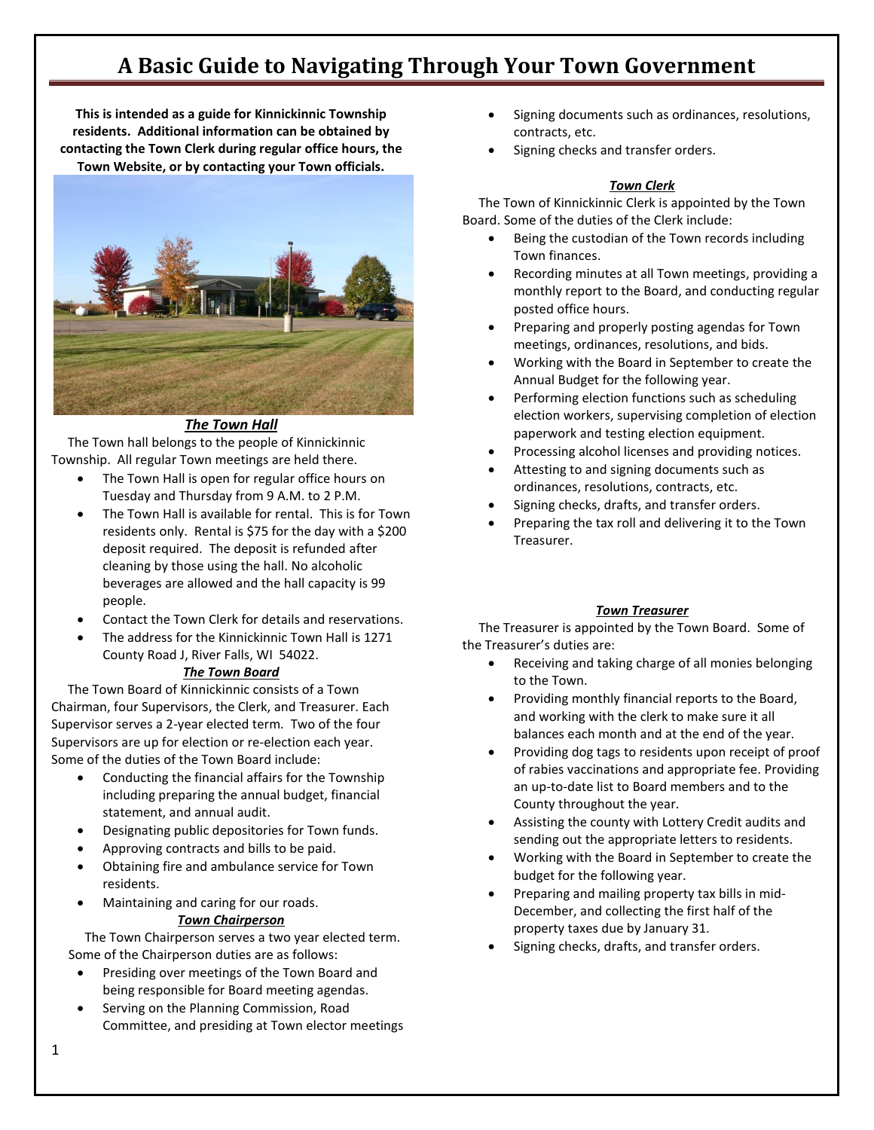**This is intended as a guide for Kinnickinnic Township residents. Additional information can be obtained by contacting the Town Clerk during regular office hours, the Town Website, or by contacting your Town officials.**



# *The Town Hall*

 The Town hall belongs to the people of Kinnickinnic Township. All regular Town meetings are held there.

- The Town Hall is open for regular office hours on Tuesday and Thursday from 9 A.M. to 2 P.M.
- The Town Hall is available for rental. This is for Town residents only. Rental is \$75 for the day with a \$200 deposit required. The deposit is refunded after cleaning by those using the hall. No alcoholic beverages are allowed and the hall capacity is 99 people.
- Contact the Town Clerk for details and reservations.
- The address for the Kinnickinnic Town Hall is 1271 County Road J, River Falls, WI 54022.

## *The Town Board*

 The Town Board of Kinnickinnic consists of a Town Chairman, four Supervisors, the Clerk, and Treasurer. Each Supervisor serves a 2-year elected term. Two of the four Supervisors are up for election or re-election each year. Some of the duties of the Town Board include:

- Conducting the financial affairs for the Township including preparing the annual budget, financial statement, and annual audit.
- Designating public depositories for Town funds.
- Approving contracts and bills to be paid.
- Obtaining fire and ambulance service for Town residents.
- Maintaining and caring for our roads. *Town Chairperson*

 The Town Chairperson serves a two year elected term. Some of the Chairperson duties are as follows:

- Presiding over meetings of the Town Board and being responsible for Board meeting agendas.
- Serving on the Planning Commission, Road Committee, and presiding at Town elector meetings
- Signing documents such as ordinances, resolutions, contracts, etc.
- Signing checks and transfer orders.

# *Town Clerk*

 The Town of Kinnickinnic Clerk is appointed by the Town Board. Some of the duties of the Clerk include:

- Being the custodian of the Town records including Town finances.
- Recording minutes at all Town meetings, providing a monthly report to the Board, and conducting regular posted office hours.
- Preparing and properly posting agendas for Town meetings, ordinances, resolutions, and bids.
- Working with the Board in September to create the Annual Budget for the following year.
- Performing election functions such as scheduling election workers, supervising completion of election paperwork and testing election equipment.
- Processing alcohol licenses and providing notices.
- Attesting to and signing documents such as ordinances, resolutions, contracts, etc.
- Signing checks, drafts, and transfer orders.
- Preparing the tax roll and delivering it to the Town Treasurer.

# *Town Treasurer*

 The Treasurer is appointed by the Town Board. Some of the Treasurer's duties are:

- Receiving and taking charge of all monies belonging to the Town.
- Providing monthly financial reports to the Board, and working with the clerk to make sure it all balances each month and at the end of the year.
- Providing dog tags to residents upon receipt of proof of rabies vaccinations and appropriate fee. Providing an up-to-date list to Board members and to the County throughout the year.
- Assisting the county with Lottery Credit audits and sending out the appropriate letters to residents.
- Working with the Board in September to create the budget for the following year.
- Preparing and mailing property tax bills in mid-December, and collecting the first half of the property taxes due by January 31.
- Signing checks, drafts, and transfer orders.

1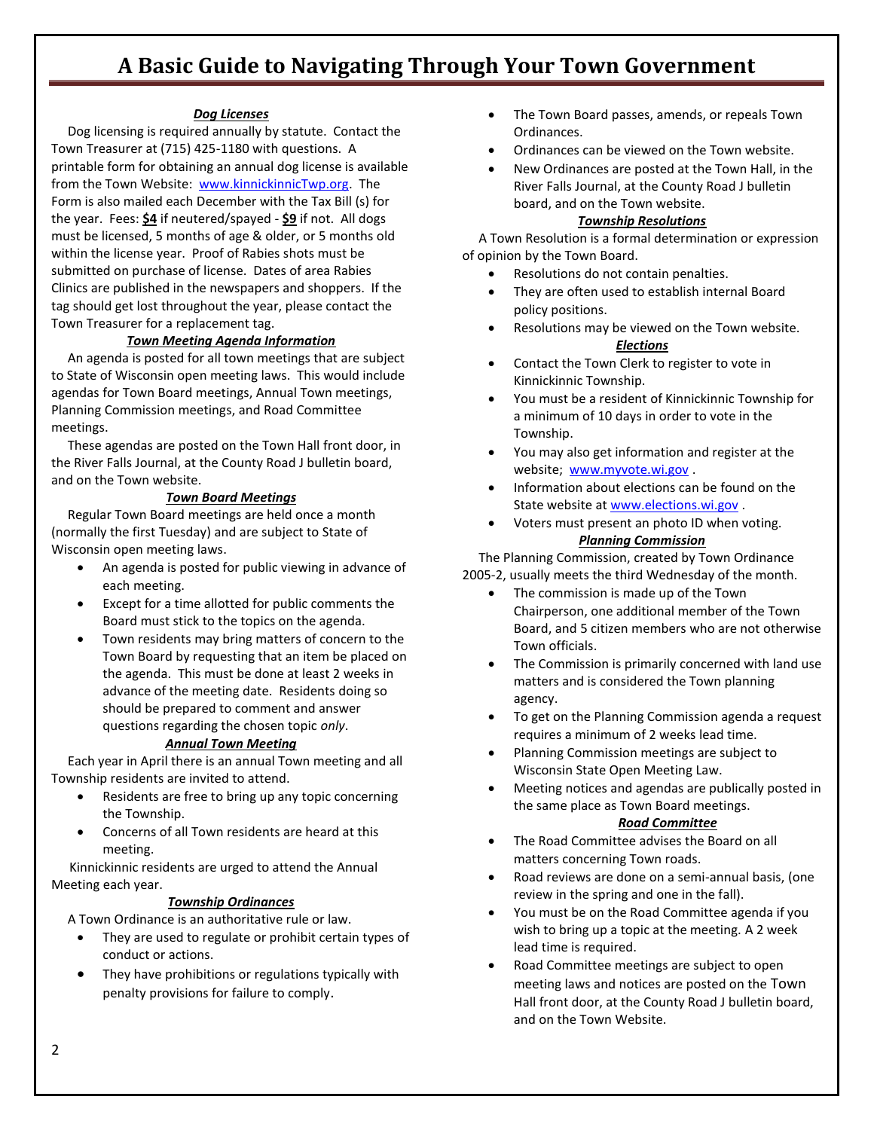# *Dog Licenses*

 Dog licensing is required annually by statute. Contact the Town Treasurer at (715) 425-1180 with questions. A printable form for obtaining an annual dog license is available from the Town Website: [www.kinnickinnicTwp.org.](http://www.kinnickinnictwp.org/) The Form is also mailed each December with the Tax Bill (s) for the year. Fees: **\$4** if neutered/spayed - **\$9** if not. All dogs must be licensed, 5 months of age & older, or 5 months old within the license year. Proof of Rabies shots must be submitted on purchase of license. Dates of area Rabies Clinics are published in the newspapers and shoppers. If the tag should get lost throughout the year, please contact the Town Treasurer for a replacement tag.

## *Town Meeting Agenda Information*

 An agenda is posted for all town meetings that are subject to State of Wisconsin open meeting laws. This would include agendas for Town Board meetings, Annual Town meetings, Planning Commission meetings, and Road Committee meetings.

 These agendas are posted on the Town Hall front door, in the River Falls Journal, at the County Road J bulletin board, and on the Town website.

# *Town Board Meetings*

 Regular Town Board meetings are held once a month (normally the first Tuesday) and are subject to State of Wisconsin open meeting laws.

- An agenda is posted for public viewing in advance of each meeting.
- Except for a time allotted for public comments the Board must stick to the topics on the agenda.
- Town residents may bring matters of concern to the Town Board by requesting that an item be placed on the agenda. This must be done at least 2 weeks in advance of the meeting date. Residents doing so should be prepared to comment and answer questions regarding the chosen topic *only*.

## *Annual Town Meeting*

 Each year in April there is an annual Town meeting and all Township residents are invited to attend.

- Residents are free to bring up any topic concerning the Township.
- Concerns of all Town residents are heard at this meeting.

 Kinnickinnic residents are urged to attend the Annual Meeting each year.

## *Township Ordinances*

A Town Ordinance is an authoritative rule or law.

- They are used to regulate or prohibit certain types of conduct or actions.
- They have prohibitions or regulations typically with penalty provisions for failure to comply.
- The Town Board passes, amends, or repeals Town Ordinances.
- Ordinances can be viewed on the Town website.
- New Ordinances are posted at the Town Hall, in the River Falls Journal, at the County Road J bulletin board, and on the Town website.

#### *Township Resolutions*

 A Town Resolution is a formal determination or expression of opinion by the Town Board.

- Resolutions do not contain penalties.
- They are often used to establish internal Board policy positions.
- Resolutions may be viewed on the Town website. *Elections*
- Contact the Town Clerk to register to vote in Kinnickinnic Township.
- You must be a resident of Kinnickinnic Township for a minimum of 10 days in order to vote in the Township.
- You may also get information and register at the website; [www.myvote.wi.gov](http://www.myvote.wi.gov/) .
- Information about elections can be found on the State website at [www.elections.wi.gov](http://www.elections.wi.gov/) .
- Voters must present an photo ID when voting. *Planning Commission*

 The Planning Commission, created by Town Ordinance 2005-2, usually meets the third Wednesday of the month.

- The commission is made up of the Town Chairperson, one additional member of the Town Board, and 5 citizen members who are not otherwise Town officials.
- The Commission is primarily concerned with land use matters and is considered the Town planning agency.
- To get on the Planning Commission agenda a request requires a minimum of 2 weeks lead time.
- Planning Commission meetings are subject to Wisconsin State Open Meeting Law.
- Meeting notices and agendas are publically posted in the same place as Town Board meetings.

#### *Road Committee*

- The Road Committee advises the Board on all matters concerning Town roads.
- Road reviews are done on a semi-annual basis, (one review in the spring and one in the fall).
- You must be on the Road Committee agenda if you wish to bring up a topic at the meeting. A 2 week lead time is required.
- Road Committee meetings are subject to open meeting laws and notices are posted on the Town Hall front door, at the County Road J bulletin board, and on the Town Website.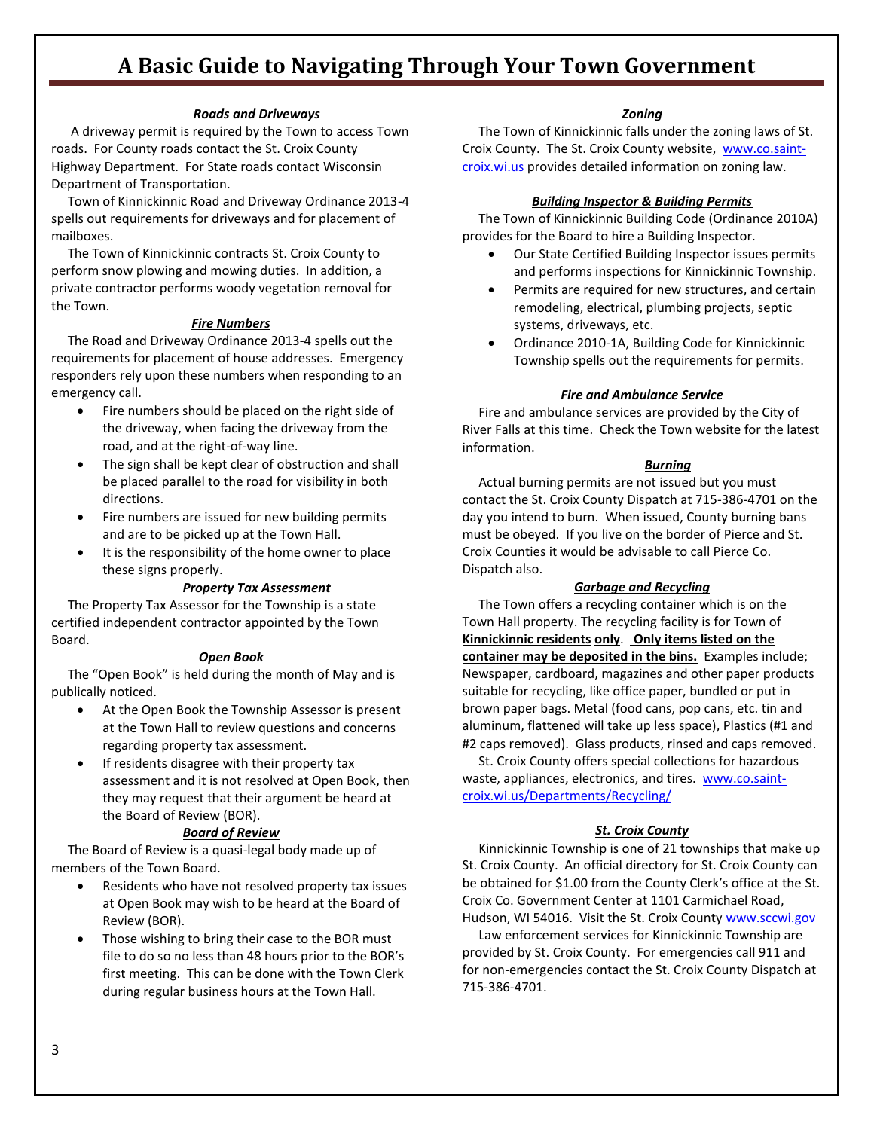#### *Roads and Driveways*

 A driveway permit is required by the Town to access Town roads. For County roads contact the St. Croix County Highway Department. For State roads contact Wisconsin Department of Transportation.

 Town of Kinnickinnic Road and Driveway Ordinance 2013-4 spells out requirements for driveways and for placement of mailboxes.

 The Town of Kinnickinnic contracts St. Croix County to perform snow plowing and mowing duties. In addition, a private contractor performs woody vegetation removal for the Town.

#### *Fire Numbers*

 The Road and Driveway Ordinance 2013-4 spells out the requirements for placement of house addresses. Emergency responders rely upon these numbers when responding to an emergency call.

- Fire numbers should be placed on the right side of the driveway, when facing the driveway from the road, and at the right-of-way line.
- The sign shall be kept clear of obstruction and shall be placed parallel to the road for visibility in both directions.
- Fire numbers are issued for new building permits and are to be picked up at the Town Hall.
- It is the responsibility of the home owner to place these signs properly.

#### *Property Tax Assessment*

 The Property Tax Assessor for the Township is a state certified independent contractor appointed by the Town Board.

#### *Open Book*

 The "Open Book" is held during the month of May and is publically noticed.

- At the Open Book the Township Assessor is present at the Town Hall to review questions and concerns regarding property tax assessment.
- If residents disagree with their property tax assessment and it is not resolved at Open Book, then they may request that their argument be heard at the Board of Review (BOR).

#### *Board of Review*

 The Board of Review is a quasi-legal body made up of members of the Town Board.

- Residents who have not resolved property tax issues at Open Book may wish to be heard at the Board of Review (BOR).
- Those wishing to bring their case to the BOR must file to do so no less than 48 hours prior to the BOR's first meeting. This can be done with the Town Clerk during regular business hours at the Town Hall.

#### *Zoning*

 The Town of Kinnickinnic falls under the zoning laws of St. Croix County. The St. Croix County website, [www.co.saint](http://www.co.saint-croix.wi.us/)[croix.wi.us](http://www.co.saint-croix.wi.us/) provides detailed information on zoning law.

#### *Building Inspector & Building Permits*

 The Town of Kinnickinnic Building Code (Ordinance 2010A) provides for the Board to hire a Building Inspector.

- Our State Certified Building Inspector issues permits and performs inspections for Kinnickinnic Township.
- Permits are required for new structures, and certain remodeling, electrical, plumbing projects, septic systems, driveways, etc.
- Ordinance 2010-1A, Building Code for Kinnickinnic Township spells out the requirements for permits.

#### *Fire and Ambulance Service*

 Fire and ambulance services are provided by the City of River Falls at this time. Check the Town website for the latest information.

#### *Burning*

 Actual burning permits are not issued but you must contact the St. Croix County Dispatch at 715-386-4701 on the day you intend to burn. When issued, County burning bans must be obeyed. If you live on the border of Pierce and St. Croix Counties it would be advisable to call Pierce Co. Dispatch also.

#### *Garbage and Recycling*

 The Town offers a recycling container which is on the Town Hall property. The recycling facility is for Town of **Kinnickinnic residents only**. **Only items listed on the container may be deposited in the bins.** Examples include; Newspaper, cardboard, magazines and other paper products suitable for recycling, like office paper, bundled or put in brown paper bags. Metal (food cans, pop cans, etc. tin and aluminum, flattened will take up less space), Plastics (#1 and #2 caps removed). Glass products, rinsed and caps removed.

 St. Croix County offers special collections for hazardous waste, appliances, electronics, and tires. [www.co.saint](http://www.co.saint-croix.wi.us/Departments/Recycling/)[croix.wi.us/Departments/Recycling/](http://www.co.saint-croix.wi.us/Departments/Recycling/)

#### *St. Croix County*

 Kinnickinnic Township is one of 21 townships that make up St. Croix County. An official directory for St. Croix County can be obtained for \$1.00 from the County Clerk's office at the St. Croix Co. Government Center at 1101 Carmichael Road, Hudson, WI 54016. Visit the St. Croix Count[y www.sccwi.gov](http://www.sccwi.gov/)

 Law enforcement services for Kinnickinnic Township are provided by St. Croix County. For emergencies call 911 and for non-emergencies contact the St. Croix County Dispatch at 715-386-4701.